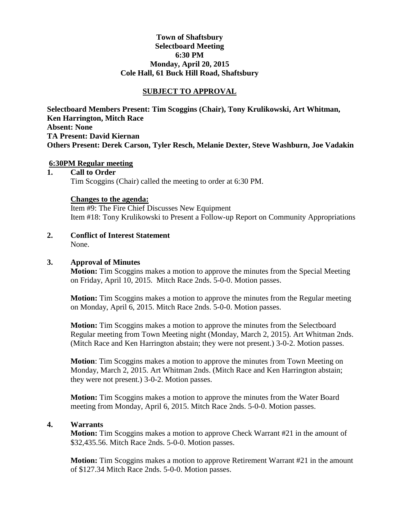# **Town of Shaftsbury Selectboard Meeting 6:30 PM Monday, April 20, 2015 Cole Hall, 61 Buck Hill Road, Shaftsbury**

# **SUBJECT TO APPROVAL**

**Selectboard Members Present: Tim Scoggins (Chair), Tony Krulikowski, Art Whitman, Ken Harrington, Mitch Race Absent: None TA Present: David Kiernan Others Present: Derek Carson, Tyler Resch, Melanie Dexter, Steve Washburn, Joe Vadakin**

#### **6:30PM Regular meeting**

# **1. Call to Order**

Tim Scoggins (Chair) called the meeting to order at 6:30 PM.

#### **Changes to the agenda:**

Item #9: The Fire Chief Discusses New Equipment Item #18: Tony Krulikowski to Present a Follow-up Report on Community Appropriations

**2. Conflict of Interest Statement** None.

#### **3. Approval of Minutes**

**Motion:** Tim Scoggins makes a motion to approve the minutes from the Special Meeting on Friday, April 10, 2015. Mitch Race 2nds. 5-0-0. Motion passes.

**Motion:** Tim Scoggins makes a motion to approve the minutes from the Regular meeting on Monday, April 6, 2015. Mitch Race 2nds. 5-0-0. Motion passes.

**Motion:** Tim Scoggins makes a motion to approve the minutes from the Selectboard Regular meeting from Town Meeting night (Monday, March 2, 2015). Art Whitman 2nds. (Mitch Race and Ken Harrington abstain; they were not present.) 3-0-2. Motion passes.

**Motion**: Tim Scoggins makes a motion to approve the minutes from Town Meeting on Monday, March 2, 2015. Art Whitman 2nds. (Mitch Race and Ken Harrington abstain; they were not present.) 3-0-2. Motion passes.

**Motion:** Tim Scoggins makes a motion to approve the minutes from the Water Board meeting from Monday, April 6, 2015. Mitch Race 2nds. 5-0-0. Motion passes.

#### **4. Warrants**

**Motion:** Tim Scoggins makes a motion to approve Check Warrant #21 in the amount of \$32,435.56. Mitch Race 2nds. 5-0-0. Motion passes.

**Motion:** Tim Scoggins makes a motion to approve Retirement Warrant #21 in the amount of \$127.34 Mitch Race 2nds. 5-0-0. Motion passes.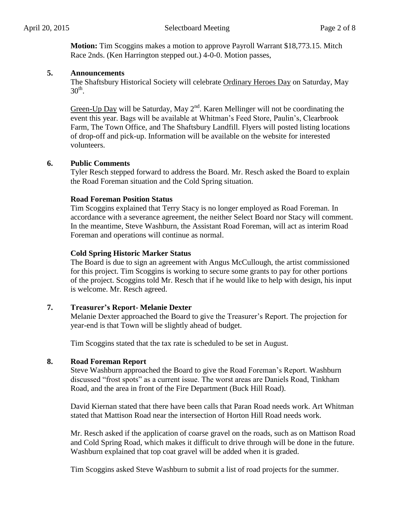**Motion:** Tim Scoggins makes a motion to approve Payroll Warrant \$18,773.15. Mitch Race 2nds. (Ken Harrington stepped out.) 4-0-0. Motion passes,

# **5. Announcements**

The Shaftsbury Historical Society will celebrate Ordinary Heroes Day on Saturday, May  $30<sup>th</sup>$ .

Green-Up Day will be Saturday, May  $2^{nd}$ . Karen Mellinger will not be coordinating the event this year. Bags will be available at Whitman's Feed Store, Paulin's, Clearbrook Farm, The Town Office, and The Shaftsbury Landfill. Flyers will posted listing locations of drop-off and pick-up. Information will be available on the website for interested volunteers.

# **6. Public Comments**

Tyler Resch stepped forward to address the Board. Mr. Resch asked the Board to explain the Road Foreman situation and the Cold Spring situation.

# **Road Foreman Position Status**

Tim Scoggins explained that Terry Stacy is no longer employed as Road Foreman. In accordance with a severance agreement, the neither Select Board nor Stacy will comment. In the meantime, Steve Washburn, the Assistant Road Foreman, will act as interim Road Foreman and operations will continue as normal.

# **Cold Spring Historic Marker Status**

The Board is due to sign an agreement with Angus McCullough, the artist commissioned for this project. Tim Scoggins is working to secure some grants to pay for other portions of the project. Scoggins told Mr. Resch that if he would like to help with design, his input is welcome. Mr. Resch agreed.

# **7. Treasurer's Report- Melanie Dexter**

Melanie Dexter approached the Board to give the Treasurer's Report. The projection for year-end is that Town will be slightly ahead of budget.

Tim Scoggins stated that the tax rate is scheduled to be set in August.

#### **8. Road Foreman Report**

Steve Washburn approached the Board to give the Road Foreman's Report. Washburn discussed "frost spots" as a current issue. The worst areas are Daniels Road, Tinkham Road, and the area in front of the Fire Department (Buck Hill Road).

David Kiernan stated that there have been calls that Paran Road needs work. Art Whitman stated that Mattison Road near the intersection of Horton Hill Road needs work.

Mr. Resch asked if the application of coarse gravel on the roads, such as on Mattison Road and Cold Spring Road, which makes it difficult to drive through will be done in the future. Washburn explained that top coat gravel will be added when it is graded.

Tim Scoggins asked Steve Washburn to submit a list of road projects for the summer.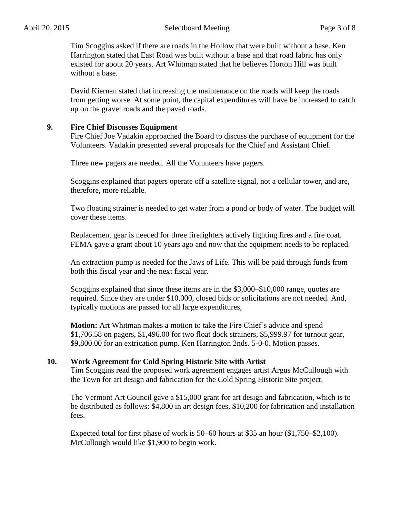Tim Scoggins asked if there are roads in the Hollow that were built without a base. Ken Harrington stated that East Road was built without a base and that road fabric has only existed for about 20 years. Art Whitman stated that he believes Horton Hill was built without a base.

David Kiernan stated that increasing the maintenance on the roads will keep the roads from getting worse. At some point, the capital expenditures will have be increased to catch up on the gravel roads and the paved roads.

# **9. Fire Chief Discusses Equipment**

Fire Chief Joe Vadakin approached the Board to discuss the purchase of equipment for the Volunteers. Vadakin presented several proposals for the Chief and Assistant Chief.

Three new pagers are needed. All the Volunteers have pagers.

Scoggins explained that pagers operate off a satellite signal, not a cellular tower, and are, therefore, more reliable.

Two floating strainer is needed to get water from a pond or body of water. The budget will cover these items.

Replacement gear is needed for three firefighters actively fighting fires and a fire coat. FEMA gave a grant about 10 years ago and now that the equipment needs to be replaced.

An extraction pump is needed for the Jaws of Life. This will be paid through funds from both this fiscal year and the next fiscal year.

Scoggins explained that since these items are in the \$3,000–\$10,000 range, quotes are required. Since they are under \$10,000, closed bids or solicitations are not needed. And, typically motions are passed for all large expenditures,

**Motion:** Art Whitman makes a motion to take the Fire Chief's advice and spend \$1,706.58 on pagers, \$1,496.00 for two float dock strainers, \$5,999.97 for turnout gear, \$9,800.00 for an extrication pump. Ken Harrington 2nds. 5-0-0. Motion passes.

# **10. Work Agreement for Cold Spring Historic Site with Artist**

Tim Scoggins read the proposed work agreement engages artist Argus McCullough with the Town for art design and fabrication for the Cold Spring Historic Site project.

The Vermont Art Council gave a \$15,000 grant for art design and fabrication, which is to be distributed as follows: \$4,800 in art design fees, \$10,200 for fabrication and installation fees.

Expected total for first phase of work is 50–60 hours at \$35 an hour (\$1,750–\$2,100). McCullough would like \$1,900 to begin work.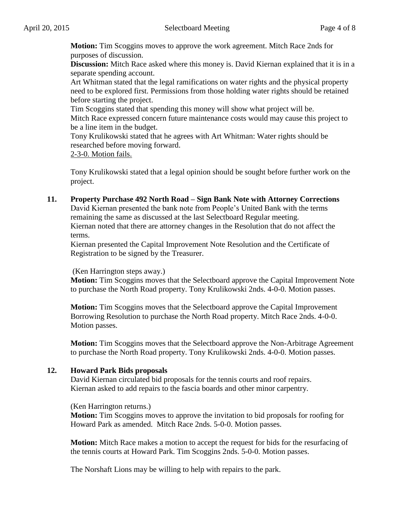**Motion:** Tim Scoggins moves to approve the work agreement. Mitch Race 2nds for purposes of discussion.

**Discussion:** Mitch Race asked where this money is. David Kiernan explained that it is in a separate spending account.

Art Whitman stated that the legal ramifications on water rights and the physical property need to be explored first. Permissions from those holding water rights should be retained before starting the project.

Tim Scoggins stated that spending this money will show what project will be. Mitch Race expressed concern future maintenance costs would may cause this project to be a line item in the budget.

Tony Krulikowski stated that he agrees with Art Whitman: Water rights should be researched before moving forward.

2-3-0. Motion fails.

Tony Krulikowski stated that a legal opinion should be sought before further work on the project.

**11. Property Purchase 492 North Road – Sign Bank Note with Attorney Corrections** David Kiernan presented the bank note from People's United Bank with the terms

remaining the same as discussed at the last Selectboard Regular meeting.

Kiernan noted that there are attorney changes in the Resolution that do not affect the terms.

Kiernan presented the Capital Improvement Note Resolution and the Certificate of Registration to be signed by the Treasurer.

#### (Ken Harrington steps away.)

**Motion:** Tim Scoggins moves that the Selectboard approve the Capital Improvement Note to purchase the North Road property. Tony Krulikowski 2nds. 4-0-0. Motion passes.

**Motion:** Tim Scoggins moves that the Selectboard approve the Capital Improvement Borrowing Resolution to purchase the North Road property. Mitch Race 2nds. 4-0-0. Motion passes.

**Motion:** Tim Scoggins moves that the Selectboard approve the Non-Arbitrage Agreement to purchase the North Road property. Tony Krulikowski 2nds. 4-0-0. Motion passes.

# **12. Howard Park Bids proposals**

David Kiernan circulated bid proposals for the tennis courts and roof repairs. Kiernan asked to add repairs to the fascia boards and other minor carpentry.

(Ken Harrington returns.)

**Motion:** Tim Scoggins moves to approve the invitation to bid proposals for roofing for Howard Park as amended. Mitch Race 2nds. 5-0-0. Motion passes.

**Motion:** Mitch Race makes a motion to accept the request for bids for the resurfacing of the tennis courts at Howard Park. Tim Scoggins 2nds. 5-0-0. Motion passes.

The Norshaft Lions may be willing to help with repairs to the park.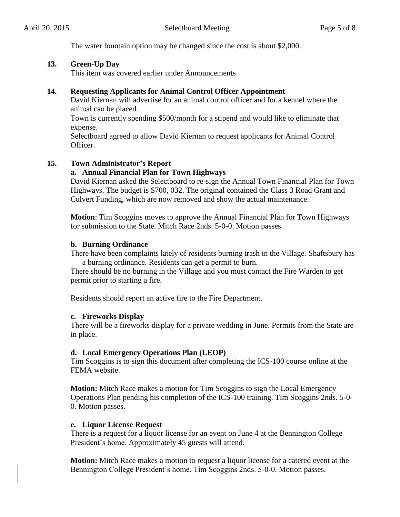The water fountain option may be changed since the cost is about \$2,000.

# **13. Green-Up Day**

This item was covered earlier under Announcements

# **14. Requesting Applicants for Animal Control Officer Appointment**

David Kiernan will advertise for an animal control officer and for a kennel where the animal can be placed.

Town is currently spending \$500/month for a stipend and would like to eliminate that expense.

Selectboard agreed to allow David Kiernan to request applicants for Animal Control Officer.

# **15. Town Administrator's Report**

# **a. Annual Financial Plan for Town Highways**

David Kiernan asked the Selectboard to re-sign the Annual Town Financial Plan for Town Highways. The budget is \$700, 032. The original contained the Class 3 Road Grant and Culvert Funding, which are now removed and show the actual maintenance.

**Motion**: Tim Scoggins moves to approve the Annual Financial Plan for Town Highways for submission to the State. Mitch Race 2nds. 5-0-0. Motion passes.

# **b. Burning Ordinance**

There have been complaints lately of residents burning trash in the Village. Shaftsbury has a burning ordinance. Residents can get a permit to burn.

There should be no burning in the Village and you must contact the Fire Warden to get permit prior to starting a fire.

Residents should report an active fire to the Fire Department.

# **c. Fireworks Display**

There will be a fireworks display for a private wedding in June. Permits from the State are in place.

# **d. Local Emergency Operations Plan (LEOP)**

Tim Scoggins is to sign this document after completing the ICS-100 course online at the FEMA website.

**Motion:** Mitch Race makes a motion for Tim Scoggins to sign the Local Emergency Operations Plan pending his completion of the ICS-100 training. Tim Scoggins 2nds. 5-0- 0. Motion passes.

# **e. Liquor License Request**

There is a request for a liquor license for an event on June 4 at the Bennington College President's home. Approximately 45 guests will attend.

**Motion:** Mitch Race makes a motion to request a liquor license for a catered event at the Bennington College President's home. Tim Scoggins 2nds. 5-0-0. Motion passes.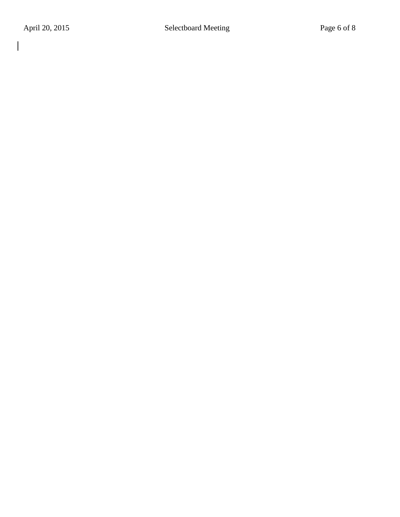$\overline{\phantom{a}}$